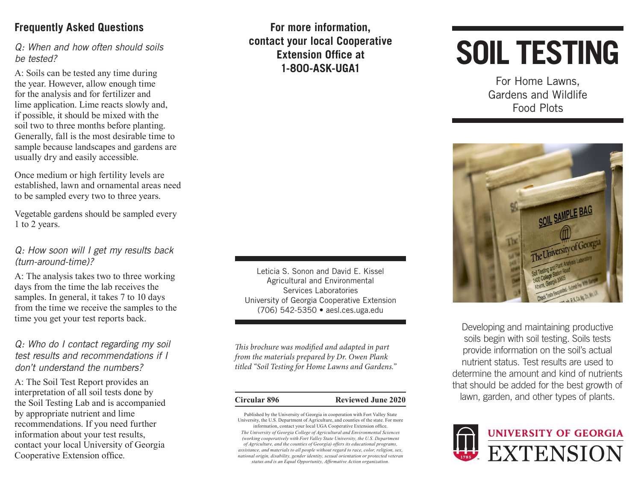#### **Frequently Asked Questions**

*Q: When and how often should soils be tested?*

A: Soils can be tested any time during the year. However, allow enough time for the analysis and for fertilizer and lime application. Lime reacts slowly and, if possible, it should be mixed with the soil two to three months before planting. Generally, fall is the most desirable time to sample because landscapes and gardens are usually dry and easily accessible.

Once medium or high fertility levels are established, lawn and ornamental areas need to be sampled every two to three years.

Vegetable gardens should be sampled every 1 to 2 years.

#### *Q: How soon will I get my results back (turn-around-time)?*

A: The analysis takes two to three working days from the time the lab receives the samples. In general, it takes 7 to 10 days from the time we receive the samples to the time you get your test reports back.

#### *Q: Who do I contact regarding my soil test results and recommendations if I don't understand the numbers?*

A: The Soil Test Report provides an interpretation of all soil tests done by the Soil Testing Lab and is accompanied by appropriate nutrient and lime recommendations. If you need further information about your test results, contact your local University of Georgia Cooperative Extension office.

**For more information, contact your local Cooperative Extension Office at 1-800-ASK-UGA1**

#### Leticia S. Sonon and David E. Kissel Agricultural and Environmental Services Laboratories University of Georgia Cooperative Extension (706) 542-5350 • aesl.ces.uga.edu

*This brochure was modified and adapted in part from the materials prepared by Dr. Owen Plank titled "Soil Testing for Home Lawns and Gardens."*

Published by the University of Georgia in cooperation with Fort Valley State University, the U.S. Department of Agriculture, and counties of the state. For more information, contact your local UGA Cooperative Extension office. *The University of Georgia College of Agricultural and Environmental Sciences (working cooperatively with Fort Valley State University, the U.S. Department of Agriculture, and the counties of Georgia) offers its educational programs, assistance, and materials to all people without regard to race, color, religion, sex, national origin, disability, gender identity, sexual orientation or protected veteran status and is an Equal Opportunity, Affirmative Action organization.*

# **SOIL TESTING**

For Home Lawns, Gardens and Wildlife Food Plots



Developing and maintaining productive soils begin with soil testing. Soils tests provide information on the soil's actual nutrient status. Test results are used to determine the amount and kind of nutrients that should be added for the best growth of **Circular 896 Reviewed June 2020** lawn, garden, and other types of plants.